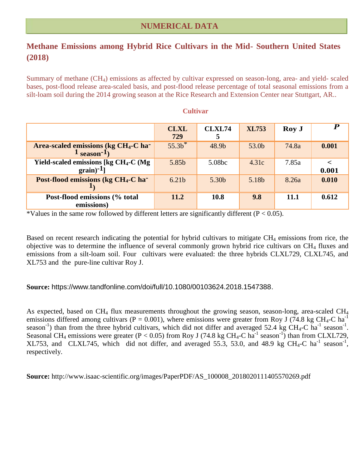## **Methane Emissions among Hybrid Rice Cultivars in the Mid- Southern United States (2018)**

Summary of methane  $(CH_4)$  emissions as affected by cultivar expressed on season-long, area- and yield- scaled bases, post-flood release area-scaled basis, and post-flood release percentage of total seasonal emissions from a silt-loam soil during the 2014 growing season at the Rice Research and Extension Center near Stuttgart, AR..

|                                                                              | <b>CLXL</b><br>729 | <b>CLXL74</b><br>5 | <b>XL753</b> | Roy J | $\boldsymbol{P}$ |
|------------------------------------------------------------------------------|--------------------|--------------------|--------------|-------|------------------|
| Area-scaled emissions (kg CH <sub>4</sub> -C ha <sup>-</sup><br>$1$ season-1 | $55.3h^*$          | 48.9b              | 53.0b        | 74.8a | 0.001            |
| Yield-scaled emissions [kg CH <sub>4</sub> -C (Mg)<br>$grain$ <sup>-1</sup>  | 5.85b              | 5.08bc             | 4.31c        | 7.85a | 0.001            |
| Post-flood emissions (kg CH <sub>4</sub> -C ha <sup>-</sup>                  | 6.21 <sub>b</sub>  | 5.30b              | 5.18b        | 8.26a | 0.010            |
| Post-flood emissions (% total<br>emissions)                                  | 11.2               | 10.8               | 9.8          | 11.1  | 0.612            |

## **Cultivar**

\*Values in the same row followed by different letters are significantly different ( $P < 0.05$ ).

Based on recent research indicating the potential for hybrid cultivars to mitigate CH<sub>4</sub> emissions from rice, the objective was to determine the influence of several commonly grown hybrid rice cultivars on CH<sub>4</sub> fluxes and emissions from a silt-loam soil. Four cultivars were evaluated: the three hybrids CLXL729, CLXL745, and XL753 and the pure-line cultivar Roy J.

## **Source:** https://www.tandfonline.com/doi/full/10.1080/00103624.2018.1547388.

As expected, based on  $CH_4$  flux measurements throughout the growing season, season-long, area-scaled  $CH_4$ emissions differed among cultivars (P = 0.001), where emissions were greater from Roy J (74.8 kg CH<sub>4</sub>-C ha<sup>-1</sup>) season<sup>-1</sup>) than from the three hybrid cultivars, which did not differ and averaged 52.4 kg CH<sub>4</sub>-C ha<sup>-1</sup> season<sup>-1</sup>. Seasonal CH<sub>4</sub> emissions were greater (P < 0.05) from Roy J (74.8 kg CH<sub>4</sub>-C ha<sup>-1</sup> season<sup>-1</sup>) than from CLXL729, XL753, and CLXL745, which did not differ, and averaged 55.3, 53.0, and 48.9 kg CH<sub>4</sub>-C ha<sup>-1</sup> season<sup>-1</sup>, respectively.

**Source:** http://www.isaac-scientific.org/images/PaperPDF/AS\_100008\_2018020111405570269.pdf